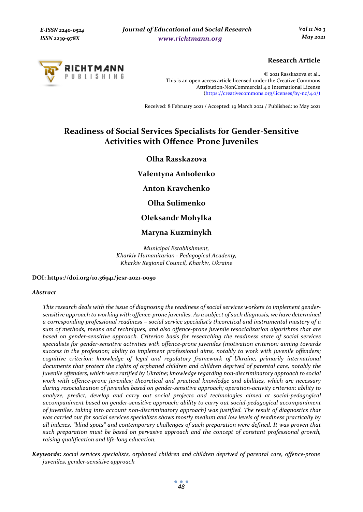

# **Research Article**

© 2021 Rasskazova et al.. This is an open access article licensed under the Creative Commons Attribution-NonCommercial 4.0 International License (https://creativecommons.org/licenses/by-nc/4.0/)

Received: 8 February 2021 / Accepted: 19 March 2021 / Published: 10 May 2021

# **Readiness of Social Services Specialists for Gender-Sensitive Activities with Offence-Prone Juveniles**

# **Olha Rasskazova**

**Valentyna Anholenko** 

**Anton Kravchenko** 

**Olha Sulimenko** 

# **Oleksandr Mohylka**

## **Maryna Kuzminykh**

*Municipal Establishment, Kharkiv Humanitarian - Pedagogical Academy, Kharkiv Regional Council, Kharkiv, Ukraine* 

#### **DOI: https://doi.org/10.36941/jesr-2021-0050**

#### *Abstract*

*This research deals with the issue of diagnosing the readiness of social services workers to implement gendersensitive approach to working with offence-prone juveniles. As a subject of such diagnosis, we have determined a corresponding professional readiness – social service specialist's theoretical and instrumental mastery of a sum of methods, means and techniques, and also offence-prone juvenile resocialization algorithms that are based on gender-sensitive approach. Criterion basis for researching the readiness state of social services specialists for gender-sensitive activities with offence-prone juveniles (motivation criterion: aiming towards success in the profession; ability to implement professional aims, notably to work with juvenile offenders; cognitive criterion: knowledge of legal and regulatory framework of Ukraine, primarily international documents that protect the rights of orphaned children and children deprived of parental care, notably the juvenile offenders, which were ratified by Ukraine; knowledge regarding non-discriminatory approach to social work with offence-prone juveniles; theoretical and practical knowledge and abilities, which are necessary during resocialization of juveniles based on gender-sensitive approach; operation-activity criterion: ability to analyze, predict, develop and carry out social projects and technologies aimed at social-pedagogical accompaniment based on gender-sensitive approach; ability to carry out social-pedagogical accompaniment of juveniles, taking into account non-discriminatory approach) was justified. The result of diagnostics that was carried out for social services specialists shows mostly medium and low levels of readiness practically by all indexes, "blind spots" and contemporary challenges of such preparation were defined. It was proven that such preparation must be based on pervasive approach and the concept of constant professional growth, raising qualification and life-long education.* 

*Keywords: social services specialists, orphaned children and children deprived of parental care, offence-prone juveniles, gender-sensitive approach*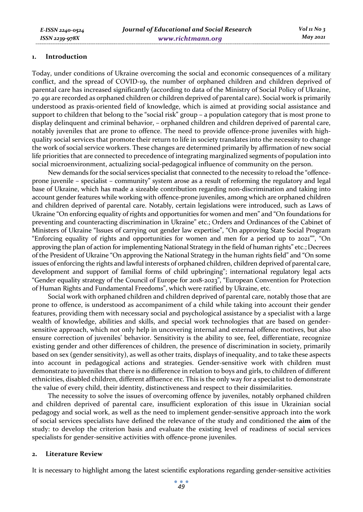#### **1. Introduction**

Today, under conditions of Ukraine overcoming the social and economic consequences of a military conflict, and the spread of COVID-19, the number of orphaned children and children deprived of parental care has increased significantly (according to data of the Ministry of Social Policy of Ukraine, 70 491 are recorded as orphaned children or children deprived of parental care). Social work is primarily understood as praxis-oriented field of knowledge, which is aimed at providing social assistance and support to children that belong to the "social risk" group – a population category that is most prone to display delinquent and criminal behavior, – orphaned children and children deprived of parental care, notably juveniles that are prone to offence. The need to provide offence-prone juveniles with highquality social services that promote their return to life in society translates into the necessity to change the work of social service workers. These changes are determined primarily by affirmation of new social life priorities that are connected to precedence of integrating marginalized segments of population into social microenvironment, actualizing social-pedagogical influence of community on the person.

New demands for the social services specialist that connected to the necessity to reload the "offenceprone juvenile – specialist – community" system arose as a result of reforming the regulatory and legal base of Ukraine, which has made a sizeable contribution regarding non-discrimination and taking into account gender features while working with offence-prone juveniles, among which are orphaned children and children deprived of parental care. Notably, certain legislations were introduced, such as Laws of Ukraine "On enforcing equality of rights and opportunities for women and men" and "On foundations for preventing and counteracting discrimination in Ukraine" etc.; Orders and Ordinances of the Cabinet of Ministers of Ukraine "Issues of carrying out gender law expertise", "On approving State Social Program "Enforcing equality of rights and opportunities for women and men for a period up to 2021"", "On approving the plan of action for implementing National Strategy in the field of human rights" etc.; Decrees of the President of Ukraine "On approving the National Strategy in the human rights field" and "On some issues of enforcing the rights and lawful interests of orphaned children, children deprived of parental care, development and support of familial forms of child upbringing"; international regulatory legal acts "Gender equality strategy of the Council of Europe for 2018-2023", "European Convention for Protection of Human Rights and Fundamental Freedoms", which were ratified by Ukraine, etc.

Social work with orphaned children and children deprived of parental care, notably those that are prone to offence, is understood as accompaniment of a child while taking into account their gender features, providing them with necessary social and psychological assistance by a specialist with a large wealth of knowledge, abilities and skills, and special work technologies that are based on gendersensitive approach, which not only help in uncovering internal and external offence motives, but also ensure correction of juveniles' behavior. Sensitivity is the ability to see, feel, differentiate, recognize existing gender and other differences of children, the presence of discrimination in society, primarily based on sex (gender sensitivity), as well as other traits, displays of inequality, and to take these aspects into account in pedagogical actions and strategies. Gender-sensitive work with children must demonstrate to juveniles that there is no difference in relation to boys and girls, to children of different ethnicities, disabled children, different affluence etc. This is the only way for a specialist to demonstrate the value of every child, their identity, distinctiveness and respect to their dissimilarities.

The necessity to solve the issues of overcoming offence by juveniles, notably orphaned children and children deprived of parental care, insufficient exploration of this issue in Ukrainian social pedagogy and social work, as well as the need to implement gender-sensitive approach into the work of social services specialists have defined the relevance of the study and conditioned the **aim** of the study: to develop the criterion basis and evaluate the existing level of readiness of social services specialists for gender-sensitive activities with offence-prone juveniles.

## **2. Literature Review**

It is necessary to highlight among the latest scientific explorations regarding gender-sensitive activities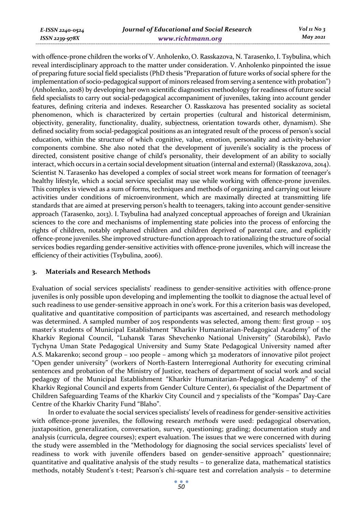*E-ISSN 2240-0524 ISSN 2239-978X*

with offence-prone children the works of V. Anholenko, O. Rasskazova, N. Tarasenko, I. Tsybulina, which reveal interdisciplinary approach to the matter under consideration. V. Anholenko pinpointed the issue of preparing future social field specialists (PhD thesis "Preparation of future works of social sphere for the implementation of socio-pedagogical support of minors released from serving a sentence with probation") (Anholenko, 2018) by developing her own scientific diagnostics methodology for readiness of future social field specialists to carry out social-pedagogical accompaniment of juveniles, taking into account gender features, defining criteria and indexes. Researcher O. Rasskazova has presented sociality as societal phenomenon, which is characterized by certain properties (cultural and historical determinism, objectivity, generality, functionality, duality, subjectness, orientation towards other, dynamism). She defined sociality from social-pedagogical positions as an integrated result of the process of person's social education, within the structure of which cognitive, value, emotion, personality and activity-behavior components combine. She also noted that the development of juvenile's sociality is the process of directed, consistent positive change of child's personality, their development of an ability to socially interact, which occurs in a certain social development situation (internal and external) (Rasskazova, 2014). Scientist N. Tarasenko has developed a complex of social street work means for formation of teenager's healthy lifestyle, which a social service specialist may use while working with offence-prone juveniles. This complex is viewed as a sum of forms, techniques and methods of organizing and carrying out leisure activities under conditions of microenvironment, which are maximally directed at transmitting life standards that are aimed at preserving person's health to teenagers, taking into account gender-sensitive approach (Tarasenko, 2013). I. Tsybulina had analyzed conceptual approaches of foreign and Ukrainian sciences to the core and mechanisms of implementing state policies into the process of enforcing the rights of children, notably orphaned children and children deprived of parental care, and explicitly offence-prone juveniles. She improved structure-function approach to rationalizing the structure of social services bodies regarding gender-sensitive activities with offence-prone juveniles, which will increase the efficiency of their activities (Tsybulina, 2006).

## **3. Materials and Research Methods**

Evaluation of social services specialists' readiness to gender-sensitive activities with offence-prone juveniles is only possible upon developing and implementing the toolkit to diagnose the actual level of such readiness to use gender-sensitive approach in one's work. For this a criterion basis was developed, qualitative and quantitative composition of participants was ascertained, and research methodology was determined. A sampled number of 205 respondents was selected, among them: first group – 105 master's students of Municipal Establishment "Kharkiv Humanitarian-Pedagogical Academy" of the Kharkiv Regional Council, "Luhansk Taras Shevchenko National University" (Starobilsk), Pavlo Tychyna Uman State Pedagogical University and Sumy State Pedagogical University named after A.S. Makarenko; second group – 100 people – among which 32 moderators of innovative pilot project "Open gender university" (workers of North-Eastern Interregional Authority for executing criminal sentences and probation of the Ministry of Justice, teachers of department of social work and social pedagogy of the Municipal Establishment "Kharkiv Humanitarian-Pedagogical Academy" of the Kharkiv Regional Council and experts from Gender Culture Center), 61 specialist of the Department of Children Safeguarding Teams of the Kharkiv City Council and 7 specialists of the "Kompas" Day-Care Centre of the Kharkiv Charity Fund "Blaho".

In order to evaluate the social services specialists' levels of readiness for gender-sensitive activities with offence-prone juveniles, the following research *methods* were used: pedagogical observation, juxtaposition, generalization, conversation, survey, questioning; grading; documentation study and analysis (curricula, degree courses); expert evaluation. The issues that we were concerned with during the study were assembled in the "Methodology for diagnosing the social services specialists' level of readiness to work with juvenile offenders based on gender-sensitive approach" questionnaire; quantitative and qualitative analysis of the study results – to generalize data, mathematical statistics methods, notably Student's t-test; Pearson's chi-square test and correlation analysis – to determine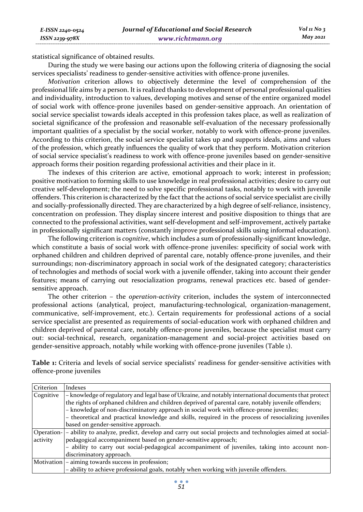*ISSN 2239-978X*

*E-ISSN 2240-0524* 

statistical significance of obtained results.

During the study we were basing our actions upon the following criteria of diagnosing the social services specialists' readiness to gender-sensitive activities with offence-prone juveniles.

*Motivation* criterion allows to objectively determine the level of comprehension of the professional life aims by a person. It is realized thanks to development of personal professional qualities and individuality, introduction to values, developing motives and sense of the entire organized model of social work with offence-prone juveniles based on gender-sensitive approach. An orientation of social service specialist towards ideals accepted in this profession takes place, as well as realization of societal significance of the profession and reasonable self-evaluation of the necessary professionally important qualities of a specialist by the social worker, notably to work with offence-prone juveniles. According to this criterion, the social service specialist takes up and supports ideals, aims and values of the profession, which greatly influences the quality of work that they perform. Motivation criterion of social service specialist's readiness to work with offence-prone juveniles based on gender-sensitive approach forms their position regarding professional activities and their place in it.

The indexes of this criterion are active, emotional approach to work; interest in profession; positive motivation to forming skills to use knowledge in real professional activities; desire to carry out creative self-development; the need to solve specific professional tasks, notably to work with juvenile offenders. This criterion is characterized by the fact that the actions of social service specialist are civilly and socially-professionally directed. They are characterized by a high degree of self-reliance, insistency, concentration on profession. They display sincere interest and positive disposition to things that are connected to the professional activities, want self-development and self-improvement, actively partake in professionally significant matters (constantly improve professional skills using informal education).

The following criterion is *cognitive*, which includes a sum of professionally-significant knowledge, which constitute a basis of social work with offence-prone juveniles: specificity of social work with orphaned children and children deprived of parental care, notably offence-prone juveniles, and their surroundings; non-discriminatory approach in social work of the designated category; characteristics of technologies and methods of social work with a juvenile offender, taking into account their gender features; means of carrying out resocialization programs, renewal practices etc. based of gendersensitive approach.

The other criterion – the *operation-activity* criterion, includes the system of interconnected professional actions (analytical, project, manufacturing-technological, organization-management, communicative, self-improvement, etc.). Certain requirements for professional actions of a social service specialist are presented as requirements of social-education work with orphaned children and children deprived of parental care, notably offence-prone juveniles, because the specialist must carry out: social-technical, research, organization-management and social-project activities based on gender-sensitive approach, notably while working with offence-prone juveniles (Table 1).

**Table 1:** Criteria and levels of social service specialists' readiness for gender-sensitive activities with offence-prone juveniles

| Criterion | Indexes                                                                                                           |
|-----------|-------------------------------------------------------------------------------------------------------------------|
| Cognitive | - knowledge of regulatory and legal base of Ukraine, and notably international documents that protect             |
|           | the rights of orphaned children and children deprived of parental care, notably juvenile offenders;               |
|           | - knowledge of non-discriminatory approach in social work with offence-prone juveniles;                           |
|           | - theoretical and practical knowledge and skills, required in the process of resocializing juveniles              |
|           | based on gender-sensitive approach.                                                                               |
|           | Operation- - ability to analyze, predict, develop and carry out social projects and technologies aimed at social- |
| activity  | pedagogical accompaniment based on gender-sensitive approach;                                                     |
|           | - ability to carry out social-pedagogical accompaniment of juveniles, taking into account non-                    |
|           | discriminatory approach.                                                                                          |
|           | Motivation - aiming towards success in profession;                                                                |
|           | - ability to achieve professional goals, notably when working with juvenile offenders.                            |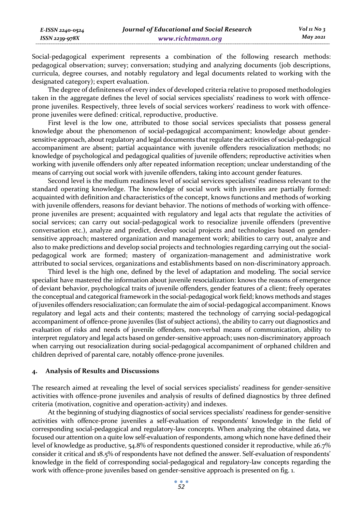Social-pedagogical experiment represents a combination of the following research methods: pedagogical observation; survey; conversation; studying and analyzing documents (job descriptions, curricula, degree courses, and notably regulatory and legal documents related to working with the designated category); expert evaluation.

The degree of definiteness of every index of developed criteria relative to proposed methodologies taken in the aggregate defines the level of social services specialists' readiness to work with offenceprone juveniles. Respectively, three levels of social services workers' readiness to work with offenceprone juveniles were defined: critical, reproductive, productive.

First level is the low one, attributed to those social services specialists that possess general knowledge about the phenomenon of social-pedagogical accompaniment; knowledge about gendersensitive approach, about regulatory and legal documents that regulate the activities of social-pedagogical accompaniment are absent; partial acquaintance with juvenile offenders resocialization methods; no knowledge of psychological and pedagogical qualities of juvenile offenders; reproductive activities when working with juvenile offenders only after repeated information reception; unclear understanding of the means of carrying out social work with juvenile offenders, taking into account gender features.

Second level is the medium readiness level of social services specialists' readiness relevant to the standard operating knowledge. The knowledge of social work with juveniles are partially formed: acquainted with definition and characteristics of the concept, knows functions and methods of working with juvenile offenders, reasons for deviant behavior. The notions of methods of working with offenceprone juveniles are present; acquainted with regulatory and legal acts that regulate the activities of social services; can carry out social-pedagogical work to resocialize juvenile offenders (preventive conversation etc.), analyze and predict, develop social projects and technologies based on gendersensitive approach; mastered organization and management work; abilities to carry out, analyze and also to make predictions and develop social projects and technologies regarding carrying out the socialpedagogical work are formed; mastery of organization-management and administrative work attributed to social services, organizations and establishments based on non-discriminatory approach.

Third level is the high one, defined by the level of adaptation and modeling. The social service specialist have mastered the information about juvenile resocialization: knows the reasons of emergence of deviant behavior, psychological traits of juvenile offenders, gender features of a client; freely operates the conceptual and categorical framework in the social-pedagogical work field; knows methods and stages of juveniles offenders resocialization; can formulate the aim of social-pedagogical accompaniment. Knows regulatory and legal acts and their contents; mastered the technology of carrying social-pedagogical accompaniment of offence-prone juveniles (list of subject actions), the ability to carry out diagnostics and evaluation of risks and needs of juvenile offenders, non-verbal means of communication, ability to interpret regulatory and legal acts based on gender-sensitive approach; uses non-discriminatory approach when carrying out resocialization during social-pedagogical accompaniment of orphaned children and children deprived of parental care, notably offence-prone juveniles.

## **4. Analysis of Results and Discussions**

The research aimed at revealing the level of social services specialists' readiness for gender-sensitive activities with offence-prone juveniles and analysis of results of defined diagnostics by three defined criteria (motivation, cognitive and operation-activity) and indexes.

At the beginning of studying diagnostics of social services specialists' readiness for gender-sensitive activities with offence-prone juveniles a self-evaluation of respondents' knowledge in the field of corresponding social-pedagogical and regulatory-law concepts. When analyzing the obtained data, we focused our attention on a quite low self-evaluation of respondents, among which none have defined their level of knowledge as productive, 54.8% of respondents questioned consider it reproductive, while 26.7% consider it critical and 18.5% of respondents have not defined the answer. Self-evaluation of respondents' knowledge in the field of corresponding social-pedagogical and regulatory-law concepts regarding the work with offence-prone juveniles based on gender-sensitive approach is presented on fig. 1.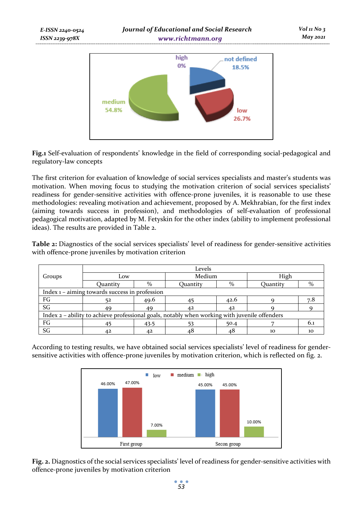

**Fig.1** Self-evaluation of respondents' knowledge in the field of corresponding social-pedagogical and regulatory-law concepts

The first criterion for evaluation of knowledge of social services specialists and master's students was motivation. When moving focus to studying the motivation criterion of social services specialists' readiness for gender-sensitive activities with offence-prone juveniles, it is reasonable to use these methodologies: revealing motivation and achievement, proposed by A. Mekhrabian, for the first index (aiming towards success in profession), and methodologies of self-evaluation of professional pedagogical motivation, adapted by M. Fetyskin for the other index (ability to implement professional ideas). The results are provided in Table 2.

**Table 2:** Diagnostics of the social services specialists' level of readiness for gender-sensitive activities with offence-prone juveniles by motivation criterion

|                                                                                               | Levels                                         |               |          |      |                 |      |  |
|-----------------------------------------------------------------------------------------------|------------------------------------------------|---------------|----------|------|-----------------|------|--|
| Groups                                                                                        | Low                                            |               | Medium   |      | High            |      |  |
|                                                                                               | Ouantity                                       | $\frac{0}{0}$ | Ouantity | $\%$ | <b>Ouantity</b> | $\%$ |  |
|                                                                                               | Index 1 - aiming towards success in profession |               |          |      |                 |      |  |
| FG                                                                                            | 52                                             | 49.6          |          | 42.6 |                 | 7.8  |  |
| SG                                                                                            | 49                                             | 49            | 42       | 42   |                 |      |  |
| Index 2 - ability to achieve professional goals, notably when working with juvenile offenders |                                                |               |          |      |                 |      |  |
| FG                                                                                            | 45                                             | 43.5          |          | 50.4 |                 | 6.1  |  |
| SG                                                                                            | 42                                             | 42            | 48       | 48   | 10              | 10   |  |

According to testing results, we have obtained social services specialists' level of readiness for gendersensitive activities with offence-prone juveniles by motivation criterion, which is reflected on fig. 2.



**Fig. 2.** Diagnostics of the social services specialists' level of readiness for gender-sensitive activities with offence-prone juveniles by motivation criterion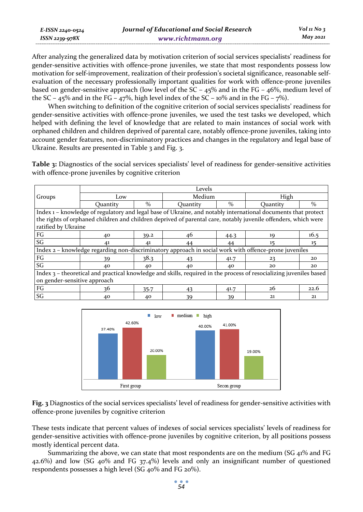| E-ISSN 2240-0524 | Journal of Educational and Social Research | Vol 11 No 3 |
|------------------|--------------------------------------------|-------------|
| ISSN 2239-978X   | www.richtmann.org                          | May 2021    |

After analyzing the generalized data by motivation criterion of social services specialists' readiness for gender-sensitive activities with offence-prone juveniles, we state that most respondents possess low motivation for self-improvement, realization of their profession's societal significance, reasonable selfevaluation of the necessary professionally important qualities for work with offence-prone juveniles based on gender-sensitive approach (low level of the SC –  $45\%$  and in the FG –  $46\%$ , medium level of the SC – 45% and in the FG – 47%, high level index of the SC – 10% and in the FG –  $7\%$ ).

When switching to definition of the cognitive criterion of social services specialists' readiness for gender-sensitive activities with offence-prone juveniles, we used the test tasks we developed, which helped with defining the level of knowledge that are related to main instances of social work with orphaned children and children deprived of parental care, notably offence-prone juveniles, taking into account gender features, non-discriminatory practices and changes in the regulatory and legal base of Ukraine. Results are presented in Table 3 and Fig. 3.

**Table 3:** Diagnostics of the social services specialists' level of readiness for gender-sensitive activities with offence-prone juveniles by cognitive criterion

|                                                                                                                    | Levels                                                                                                |      |                                                                                                                |               |          |      |  |
|--------------------------------------------------------------------------------------------------------------------|-------------------------------------------------------------------------------------------------------|------|----------------------------------------------------------------------------------------------------------------|---------------|----------|------|--|
| Groups                                                                                                             | Low                                                                                                   |      | Medium                                                                                                         |               | High     |      |  |
|                                                                                                                    | Quantity                                                                                              | $\%$ | <b>Ouantity</b>                                                                                                | $\frac{0}{0}$ | Ouantity | $\%$ |  |
|                                                                                                                    |                                                                                                       |      | Index 1 – knowledge of regulatory and legal base of Ukraine, and notably international documents that protect  |               |          |      |  |
|                                                                                                                    |                                                                                                       |      | the rights of orphaned children and children deprived of parental care, notably juvenile offenders, which were |               |          |      |  |
| ratified by Ukraine                                                                                                |                                                                                                       |      |                                                                                                                |               |          |      |  |
| FG                                                                                                                 | 40                                                                                                    | 39.2 | 46                                                                                                             | 44.3          | 19       | 16.5 |  |
| SG                                                                                                                 | 41                                                                                                    | 41   | 44                                                                                                             | 44            | 15       | 15   |  |
|                                                                                                                    | Index 2 - knowledge regarding non-discriminatory approach in social work with offence-prone juveniles |      |                                                                                                                |               |          |      |  |
| FG                                                                                                                 | 39                                                                                                    | 38.3 | 43                                                                                                             | 41.7          | 23       | 20   |  |
| SG                                                                                                                 | 40                                                                                                    | 40   | 40                                                                                                             | 40            | 20       | 20   |  |
| Index 3 – theoretical and practical knowledge and skills, required in the process of resocializing juveniles based |                                                                                                       |      |                                                                                                                |               |          |      |  |
| on gender-sensitive approach                                                                                       |                                                                                                       |      |                                                                                                                |               |          |      |  |
| FG                                                                                                                 | 36                                                                                                    | 35.7 | 43                                                                                                             | 41.7          | 26       | 22.6 |  |
| SG                                                                                                                 | 40                                                                                                    | 40   | 39                                                                                                             | 39            | 21       | 21   |  |



**Fig. 3** Diagnostics of the social services specialists' level of readiness for gender-sensitive activities with offence-prone juveniles by cognitive criterion

These tests indicate that percent values of indexes of social services specialists' levels of readiness for gender-sensitive activities with offence-prone juveniles by cognitive criterion, by all positions possess mostly identical percent data.

Summarizing the above, we can state that most respondents are on the medium (SG  $41\%$  and FG 42.6%) and low (SG 40% and FG 37.4%) levels and only an insignificant number of questioned respondents possesses a high level (SG 40% and FG 20%).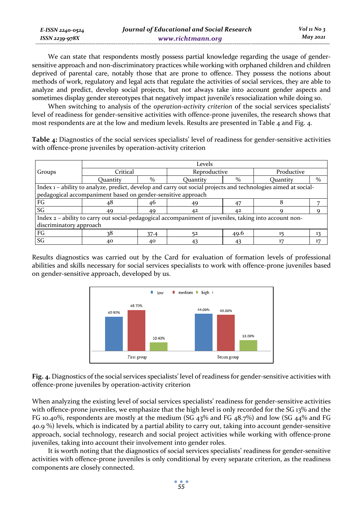| E-ISSN 2240-0524    | Journal of Educational and Social Research | Vol 11 No $\frac{1}{3}$ |
|---------------------|--------------------------------------------|-------------------------|
| $ISSN$ 2239-97 $8X$ | www.richtmann.org                          | May 2021                |

We can state that respondents mostly possess partial knowledge regarding the usage of gendersensitive approach and non-discriminatory practices while working with orphaned children and children deprived of parental care, notably those that are prone to offence. They possess the notions about methods of work, regulatory and legal acts that regulate the activities of social services, they are able to analyze and predict, develop social projects, but not always take into account gender aspects and sometimes display gender stereotypes that negatively impact juvenile's resocialization while doing so.

When switching to analysis of the *operation-activity criterion* of the social services specialists' level of readiness for gender-sensitive activities with offence-prone juveniles, the research shows that most respondents are at the low and medium levels. Results are presented in Table 4 and Fig. 4.

**Table 4:** Diagnostics of the social services specialists' level of readiness for gender-sensitive activities with offence-prone juveniles by operation-activity criterion

|                                                                                                        |                                                                                                                |      | Levels          |      |            |      |  |
|--------------------------------------------------------------------------------------------------------|----------------------------------------------------------------------------------------------------------------|------|-----------------|------|------------|------|--|
| Groups                                                                                                 | Critical                                                                                                       |      | Reproductive    |      | Productive |      |  |
|                                                                                                        | <b>Ouantity</b>                                                                                                | $\%$ | <b>Ouantity</b> | $\%$ | Ouantity   | $\%$ |  |
|                                                                                                        | Index 1 – ability to analyze, predict, develop and carry out social projects and technologies aimed at social- |      |                 |      |            |      |  |
|                                                                                                        | pedagogical accompaniment based on gender-sensitive approach                                                   |      |                 |      |            |      |  |
| FG                                                                                                     | 48                                                                                                             | 46   | 49              | 47   |            |      |  |
| SG                                                                                                     | 49                                                                                                             | 49   |                 | 42   |            |      |  |
| Index 2 – ability to carry out social-pedagogical accompaniment of juveniles, taking into account non- |                                                                                                                |      |                 |      |            |      |  |
| discriminatory approach                                                                                |                                                                                                                |      |                 |      |            |      |  |
| FG                                                                                                     |                                                                                                                | 37.4 |                 | 49.6 |            | 13   |  |
| $\mathbb S \mathbb G$                                                                                  | 40                                                                                                             | 40   | 43              | 43   |            | 17   |  |

Results diagnostics was carried out by the Card for evaluation of formation levels of professional abilities and skills necessary for social services specialists to work with offence-prone juveniles based on gender-sensitive approach, developed by us.



**Fig. 4.** Diagnostics of the social services specialists' level of readiness for gender-sensitive activities with offence-prone juveniles by operation-activity criterion

When analyzing the existing level of social services specialists' readiness for gender-sensitive activities with offence-prone juveniles, we emphasize that the high level is only recorded for the SG 13% and the FG 10.40%, respondents are mostly at the medium (SG 43% and FG 48.7%) and low (SG 44% and FG 40.9 %) levels, which is indicated by a partial ability to carry out, taking into account gender-sensitive approach, social technology, research and social project activities while working with offence-prone juveniles, taking into account their involvement into gender roles.

It is worth noting that the diagnostics of social services specialists' readiness for gender-sensitive activities with offence-prone juveniles is only conditional by every separate criterion, as the readiness components are closely connected.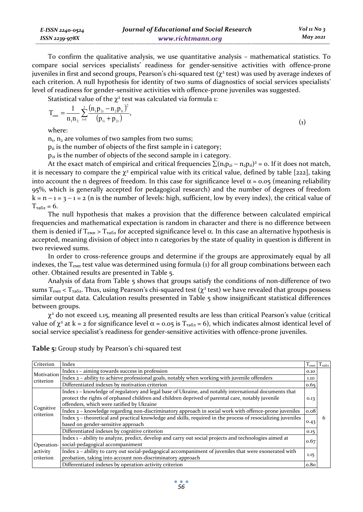To confirm the qualitative analysis, we use quantitative analysis – mathematical statistics. To compare social services specialists' readiness for gender-sensitive activities with offence-prone juveniles in first and second groups, Pearson's chi-squared test  $(\chi^2 \text{ test})$  was used by average indexes of each criterion. A null hypothesis for identity of two sums of diagnostics of social services specialists' level of readiness for gender-sensitive activities with offence-prone juveniles was suggested.

Statistical value of the  $\chi^2$  test was calculated via formula 1:

$$
T_{\text{e}_{\text{MII}}} = \frac{1}{n_1 n_2} \sum_{i=1}^{2} \frac{(n_1 p_{2i} - n_2 p_{1i})^2}{(p_{1i} + p_{2i})},
$$
\n(1)

where:

 $n_1$ ,  $n_2$  are volumes of two samples from two sums;

 $p_{ii}$  is the number of objects of the first sample in i category;

 $p_{2i}$  is the number of objects of the second sample in i category.

At the exact match of empirical and critical frequencies  $\sum (n_1p_{2i} - n_2p_{1i})^2 = o$ . If it does not match, it is necessary to compare the  $\chi^2$  empirical value with its critical value, defined by table [222], taking into account the n degrees of freedom. In this case for significance level  $\alpha$  = 0.05 (meaning reliability 95%, which is generally accepted for pedagogical research) and the number of degrees of freedom  $k = n - 1 = 3 - 1 = 2$  (n is the number of levels: high, sufficient, low by every index), the critical value of  $T_{\text{ta6n}} = 6.$ 

The null hypothesis that makes a provision that the difference between calculated empirical frequencies and mathematical expectation is random in character and there is no difference between them is denied if T<sub>εΜΠ</sub> > T<sub>TAÕ</sub><sub>η</sub> for accepted significance level α. In this case an alternative hypothesis is accepted, meaning division of object into n categories by the state of quality in question is different in two reviewed sums.

In order to cross-reference groups and determine if the groups are approximately equal by all indexes, the  $T_{\text{e}_{\text{ML}}}$  test value was determined using formula (1) for all group combinations between each other. Obtained results are presented in Table 5.

Analysis of data from Table 5 shows that groups satisfy the conditions of non-difference of two sums T<sub>eмп</sub> < T<sub>raбл</sub>. Thus, using Pearson's chi-squared test ( $\chi^2$  test) we have revealed that groups possess similar output data. Calculation results presented in Table 5 show insignificant statistical differences between groups.

 $\chi^2$  do not exceed 1.15, meaning all presented results are less than critical Pearson's value (critical value of  $\chi^2$  at k = 2 for significance level  $\alpha$  = 0.05 is  $T_{\text{ra}6n}$  = 6), which indicates almost identical level of social service specialist's readiness for gender-sensitive activities with offence-prone juveniles.

| Criterion               | Index                                                                                                                                                                                                                                                  | $1_{\text{CMI}}$ | $T_{\mathrm{ra6a}}$ |
|-------------------------|--------------------------------------------------------------------------------------------------------------------------------------------------------------------------------------------------------------------------------------------------------|------------------|---------------------|
| Motivation<br>criterion | Index 1 – aiming towards success in profession                                                                                                                                                                                                         | 0.10             |                     |
|                         | Index 2 - ability to achieve professional goals, notably when working with juvenile offenders                                                                                                                                                          | 1.10             |                     |
|                         | Differentiated indexes by motivation criterion                                                                                                                                                                                                         | 0.65             |                     |
| Cognitive<br>criterion  | Index 1 - knowledge of regulatory and legal base of Ukraine, and notably international documents that<br>protect the rights of orphaned children and children deprived of parental care, notably juvenile<br>offenders, which were ratified by Ukraine | 0.13             |                     |
|                         | Index 2 - knowledge regarding non-discriminatory approach in social work with offence-prone juveniles                                                                                                                                                  | 0.08             |                     |
|                         | Index 3 – theoretical and practical knowledge and skills, required in the process of resocializing juveniles<br>based on gender-sensitive approach                                                                                                     | 0.43             | 6                   |
|                         | Differentiated indexes by cognitive criterion                                                                                                                                                                                                          | 0.15             |                     |
| Operation-              | Index 1 - ability to analyze, predict, develop and carry out social projects and technologies aimed at<br>social-pedagogical accompaniment                                                                                                             | 0.67             |                     |
| activity<br>criterion   | Index 2 - ability to carry out social-pedagogical accompaniment of juveniles that were exonerated with<br>probation, taking into account non-discriminatory approach                                                                                   | 1.15             |                     |
|                         | Differentiated indexes by operation-activity criterion                                                                                                                                                                                                 | 0.80             |                     |

**Table 5:** Group study by Pearson's chi-squared test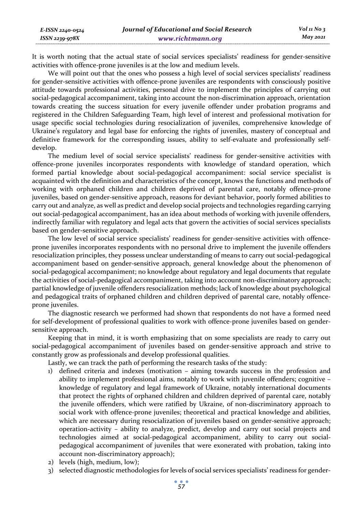*E-ISSN 2240-0524 ISSN 2239-978X*

It is worth noting that the actual state of social services specialists' readiness for gender-sensitive activities with offence-prone juveniles is at the low and medium levels.

We will point out that the ones who possess a high level of social services specialists' readiness for gender-sensitive activities with offence-prone juveniles are respondents with consciously positive attitude towards professional activities, personal drive to implement the principles of carrying out social-pedagogical accompaniment, taking into account the non-discrimination approach, orientation towards creating the success situation for every juvenile offender under probation programs and registered in the Children Safeguarding Team, high level of interest and professional motivation for usage specific social technologies during resocialization of juveniles, comprehensive knowledge of Ukraine's regulatory and legal base for enforcing the rights of juveniles, mastery of conceptual and definitive framework for the corresponding issues, ability to self-evaluate and professionally selfdevelop.

The medium level of social service specialists' readiness for gender-sensitive activities with offence-prone juveniles incorporates respondents with knowledge of standard operation, which formed partial knowledge about social-pedagogical accompaniment: social service specialist is acquainted with the definition and characteristics of the concept, knows the functions and methods of working with orphaned children and children deprived of parental care, notably offence-prone juveniles, based on gender-sensitive approach, reasons for deviant behavior, poorly formed abilities to carry out and analyze, as well as predict and develop social projects and technologies regarding carrying out social-pedagogical accompaniment, has an idea about methods of working with juvenile offenders, indirectly familiar with regulatory and legal acts that govern the activities of social services specialists based on gender-sensitive approach.

The low level of social service specialists' readiness for gender-sensitive activities with offenceprone juveniles incorporates respondents with no personal drive to implement the juvenile offenders resocialization principles, they possess unclear understanding of means to carry out social-pedagogical accompaniment based on gender-sensitive approach, general knowledge about the phenomenon of social-pedagogical accompaniment; no knowledge about regulatory and legal documents that regulate the activities of social-pedagogical accompaniment, taking into account non-discriminatory approach; partial knowledge of juvenile offenders resocialization methods; lack of knowledge about psychological and pedagogical traits of orphaned children and children deprived of parental care, notably offenceprone juveniles.

The diagnostic research we performed had shown that respondents do not have a formed need for self-development of professional qualities to work with offence-prone juveniles based on gendersensitive approach.

Keeping that in mind, it is worth emphasizing that on some specialists are ready to carry out social-pedagogical accompaniment of juveniles based on gender-sensitive approach and strive to constantly grow as professionals and develop professional qualities.

Lastly, we can track the path of performing the research tasks of the study:

- 1) defined criteria and indexes (motivation aiming towards success in the profession and ability to implement professional aims, notably to work with juvenile offenders; cognitive – knowledge of regulatory and legal framework of Ukraine, notably international documents that protect the rights of orphaned children and children deprived of parental care, notably the juvenile offenders, which were ratified by Ukraine, of non-discriminatory approach to social work with offence-prone juveniles; theoretical and practical knowledge and abilities, which are necessary during resocialization of juveniles based on gender-sensitive approach; operation-activity – ability to analyze, predict, develop and carry out social projects and technologies aimed at social-pedagogical accompaniment, ability to carry out socialpedagogical accompaniment of juveniles that were exonerated with probation, taking into account non-discriminatory approach);
- 2) levels (high, medium, low);
- 3) selected diagnostic methodologies for levels of social services specialists' readiness for gender-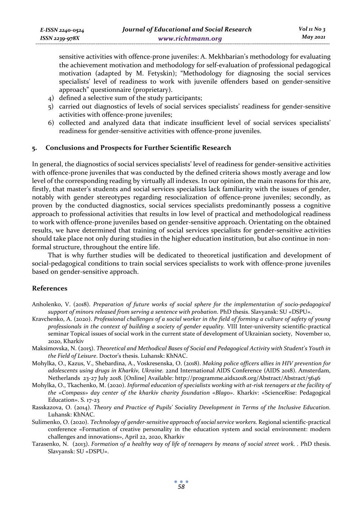sensitive activities with offence-prone juveniles: A. Mekhbarian's methodology for evaluating the achievement motivation and methodology for self-evaluation of professional pedagogical motivation (adapted by M. Fetyskin); "Methodology for diagnosing the social services specialists' level of readiness to work with juvenile offenders based on gender-sensitive approach" questionnaire (proprietary).

- 4) defined a selective sum of the study participants;
- 5) carried out diagnostics of levels of social services specialists' readiness for gender-sensitive activities with offence-prone juveniles;
- 6) collected and analyzed data that indicate insufficient level of social services specialists' readiness for gender-sensitive activities with offence-prone juveniles.

# **5. Conclusions and Prospects for Further Scientific Research**

In general, the diagnostics of social services specialists' level of readiness for gender-sensitive activities with offence-prone juveniles that was conducted by the defined criteria shows mostly average and low level of the corresponding reading by virtually all indexes. In our opinion, the main reasons for this are, firstly, that master's students and social services specialists lack familiarity with the issues of gender, notably with gender stereotypes regarding resocialization of offence-prone juveniles; secondly, as proven by the conducted diagnostics, social services specialists predominantly possess a cognitive approach to professional activities that results in low level of practical and methodological readiness to work with offence-prone juveniles based on gender-sensitive approach. Orientating on the obtained results, we have determined that training of social services specialists for gender-sensitive activities should take place not only during studies in the higher education institution, but also continue in nonformal structure, throughout the entire life.

That is why further studies will be dedicated to theoretical justification and development of social-pedagogical conditions to train social services specialists to work with offence-prone juveniles based on gender-sensitive approach.

## **References**

- Anholenko, V. (2018). *Preparation of future works of social sphere for the implementation of socio-pedagogical support of minors released from serving a sentence with probation*. PhD thesis. Slavyansk: SU «DSPU».
- Kravchenko, A. (2020). *Professional challenges of a social worker in the field of forming a culture of safety of young professionals in the context of building a society of gender equality.* VIII Inter-university scientific-practical seminar Topical issues of social work in the current state of development of Ukrainian society, November 10, 2020, Kharkiv
- Maksimovska, N. (2015). *Theoretical and Methodical Bases of Social and Pedagogical Activity with Student's Youth in the Field of Leisure*. Doctor's thesis. Luhansk: KhNAC.
- Mohylka, O., Kazus, V., Shebardina, A., Voskresenska, O. (2018). *Making police officers allies in HIV prevention for adolescents using drugs in Kharkiv, Ukraine.* 22nd International AIDS Conference (AIDS 2018). Amsterdam, Netherlands 23-27 July 2018. [Online] Available: http://programme.aids2018.org/Abstract/Abstract/5646
- Mohylka, O., Tkachenko, M. (2020). *Informal education of specialists working with at-risk teenagers at the facility of the «Сompass» day center of the kharkiv charity foundation «Вlago»*. Kharkiv: «ScienceRise: Pedagogical Education». S. 17-23
- Rasskazova, O. (2014). *Theory and Practice of Pupils' Sociality Development in Terms of the Inclusive Education*. Luhansk: KhNAC.
- Sulimenko, O. (2020). *Technology of gender-sensitive approach of social service workers.* Regional scientific-practical conference «Formation of creative personality in the education system and social environment: modern challenges and innovations», April 22, 2020, Kharkiv
- Tarasenko, N. (2013). *Formation of a healthy way of life of teenagers by means of social street work. .* PhD thesis. Slavyansk: SU «DSPU».